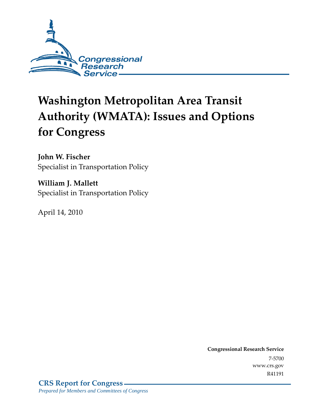

# **Washington Metropolitan Area Transit Authority (WMATA): Issues and Options for Congress**

**John W. Fischer**  Specialist in Transportation Policy

**William J. Mallett**  Specialist in Transportation Policy

April 14, 2010

**Congressional Research Service** 7-5700 www.crs.gov R41191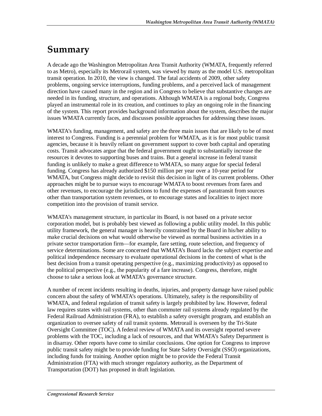### **Summary**

A decade ago the Washington Metropolitan Area Transit Authority (WMATA, frequently referred to as Metro), especially its Metrorail system, was viewed by many as the model U.S. metropolitan transit operation. In 2010, the view is changed. The fatal accidents of 2009, other safety problems, ongoing service interruptions, funding problems, and a perceived lack of management direction have caused many in the region and in Congress to believe that substantive changes are needed in its funding, structure, and operations. Although WMATA is a regional body, Congress played an instrumental role in its creation, and continues to play an ongoing role in the financing of the system. This report provides background information about the system, describes the major issues WMATA currently faces, and discusses possible approaches for addressing these issues.

WMATA's funding, management, and safety are the three main issues that are likely to be of most interest to Congress. Funding is a perennial problem for WMATA, as it is for most public transit agencies, because it is heavily reliant on government support to cover both capital and operating costs. Transit advocates argue that the federal government ought to substantially increase the resources it devotes to supporting buses and trains. But a general increase in federal transit funding is unlikely to make a great difference to WMATA, so many argue for special federal funding. Congress has already authorized \$150 million per year over a 10-year period for WMATA, but Congress might decide to revisit this decision in light of its current problems. Other approaches might be to pursue ways to encourage WMATA to boost revenues from fares and other revenues, to encourage the jurisdictions to fund the expenses of paratransit from sources other than transportation system revenues, or to encourage states and localities to inject more competition into the provision of transit service.

WMATA's management structure, in particular its Board, is not based on a private sector corporation model, but is probably best viewed as following a public utility model. In this public utility framework, the general manager is heavily constrained by the Board in his/her ability to make crucial decisions on what would otherwise be viewed as normal business activities in a private sector transportation firm—for example, fare setting, route selection, and frequency of service determinations. Some are concerned that WMATA's Board lacks the subject expertise and political independence necessary to evaluate operational decisions in the context of what is the best decision from a transit operating perspective (e.g., maximizing productivity) as opposed to the political perspective (e.g., the popularity of a fare increase). Congress, therefore, might choose to take a serious look at WMATA's governance structure.

A number of recent incidents resulting in deaths, injuries, and property damage have raised public concern about the safety of WMATA's operations. Ultimately, safety is the responsibility of WMATA, and federal regulation of transit safety is largely prohibited by law. However, federal law requires states with rail systems, other than commuter rail systems already regulated by the Federal Railroad Administration (FRA), to establish a safety oversight program, and establish an organization to oversee safety of rail transit systems. Metrorail is overseen by the Tri-State Oversight Committee (TOC). A federal review of WMATA and its oversight reported severe problems with the TOC, including a lack of resources, and that WMATA's Safety Department is in disarray. Other reports have come to similar conclusions. One option for Congress to improve public transit safety might be to provide funding for State Safety Oversight (SSO) organizations, including funds for training. Another option might be to provide the Federal Transit Administration (FTA) with much stronger regulatory authority, as the Department of Transportation (DOT) has proposed in draft legislation.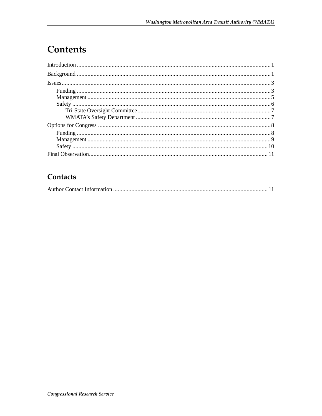## Contents

#### Contacts

|--|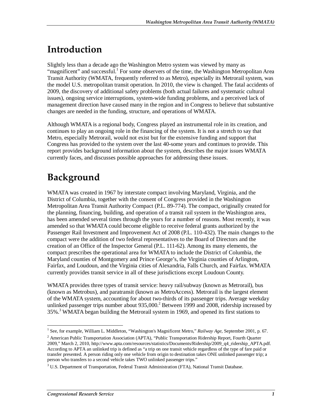### **Introduction**

Slightly less than a decade ago the Washington Metro system was viewed by many as "magnificent" and successful.<sup>1</sup> For some observers of the time, the Washington Metropolitan Area Transit Authority (WMATA, frequently referred to as Metro), especially its Metrorail system, was the model U.S. metropolitan transit operation. In 2010, the view is changed. The fatal accidents of 2009, the discovery of additional safety problems (both actual failures and systematic cultural issues), ongoing service interruptions, system-wide funding problems, and a perceived lack of management direction have caused many in the region and in Congress to believe that substantive changes are needed in the funding, structure, and operations of WMATA.

Although WMATA is a regional body, Congress played an instrumental role in its creation, and continues to play an ongoing role in the financing of the system. It is not a stretch to say that Metro, especially Metrorail, would not exist but for the extensive funding and support that Congress has provided to the system over the last 40-some years and continues to provide. This report provides background information about the system, describes the major issues WMATA currently faces, and discusses possible approaches for addressing these issues.

### **Background**

WMATA was created in 1967 by interstate compact involving Maryland, Virginia, and the District of Columbia, together with the consent of Congress provided in the Washington Metropolitan Area Transit Authority Compact (P.L. 89-774). The compact, originally created for the planning, financing, building, and operation of a transit rail system in the Washington area, has been amended several times through the years for a number of reasons. Most recently, it was amended so that WMATA could become eligible to receive federal grants authorized by the Passenger Rail Investment and Improvement Act of 2008 (P.L. 110-432). The main changes to the compact were the addition of two federal representatives to the Board of Directors and the creation of an Office of the Inspector General (P.L. 111-62). Among its many elements, the compact prescribes the operational area for WMATA to include the District of Columbia, the Maryland counties of Montgomery and Prince George's, the Virginia counties of Arlington, Fairfax, and Loudoun, and the Virginia cities of Alexandria, Falls Church, and Fairfax. WMATA currently provides transit service in all of these jurisdictions except Loudoun County.

WMATA provides three types of transit service: heavy rail/subway (known as Metrorail), bus (known as Metrobus), and paratransit (known as MetroAccess). Metrorail is the largest element of the WMATA system, accounting for about two-thirds of its passenger trips. Average weekday unlinked passenger trips number about  $935,000$ .<sup>2</sup> Between 1999 and 2008, ridership increased by 35%.<sup>3</sup> WMATA began building the Metrorail system in 1969, and opened its first stations to

 $\frac{1}{1}$ <sup>1</sup> See, for example, William L. Middleton, "Washington's Magnificent Metro," Railway Age, September 2001, p. 67.

<sup>&</sup>lt;sup>2</sup> American Public Transportation Association (APTA), "Public Transportation Ridership Report, Fourth Quarter 2009," March 2, 2010, http://www.apta.com/resources/statistics/Documents/Ridership/2009\_q4\_ridership\_APTA.pdf. According to APTA an unlinked trip is defined as "a trip on one transit vehicle regardless of the type of fare paid or transfer presented. A person riding only one vehicle from origin to destination takes ONE unlinked passenger trip; a person who transfers to a second vehicle takes TWO unlinked passenger trips."

<sup>&</sup>lt;sup>3</sup> U.S. Department of Transportation, Federal Transit Administration (FTA), National Transit Database.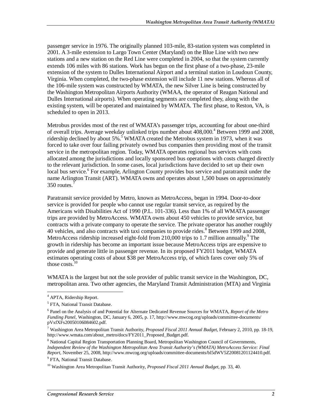passenger service in 1976. The originally planned 103-mile, 83-station system was completed in 2001. A 3-mile extension to Largo Town Center (Maryland) on the Blue Line with two new stations and a new station on the Red Line were completed in 2004, so that the system currently extends 106 miles with 86 stations. Work has begun on the first phase of a two-phase, 23-mile extension of the system to Dulles International Airport and a terminal station in Loudoun County, Virginia. When completed, the two-phase extension will include 11 new stations. Whereas all of the 106-mile system was constructed by WMATA, the new Silver Line is being constructed by the Washington Metropolitan Airports Authority (WMAA, the operator of Reagan National and Dulles International airports). When operating segments are completed they, along with the existing system, will be operated and maintained by WMATA. The first phase, to Reston, VA, is scheduled to open in 2013.

Metrobus provides most of the rest of WMATA's passenger trips, accounting for about one-third of overall trips. Average weekday unlinked trips number about 408,000.<sup>4</sup> Between 1999 and 2008, ridership declined by about  $5\%$ .<sup>5</sup> WMATA created the Metrobus system in 1973, when it was forced to take over four failing privately owned bus companies then providing most of the transit service in the metropolitan region. Today, WMATA operates regional bus services with costs allocated among the jurisdictions and locally sponsored bus operations with costs charged directly to the relevant jurisdiction. In some cases, local jurisdictions have decided to set up their own local bus service.<sup>6</sup> For example, Arlington County provides bus service and paratransit under the name Arlington Transit (ART). WMATA owns and operates about 1,500 buses on approximately 350 routes.<sup>7</sup>

Paratransit service provided by Metro, known as MetroAccess, began in 1994. Door-to-door service is provided for people who cannot use regular transit service, as required by the Americans with Disabilities Act of 1990 (P.L. 101-336). Less than 1% of all WMATA passenger trips are provided by MetroAccess. WMATA owns about 450 vehicles to provide service, but contracts with a private company to operate the service. The private operator has another roughly 40 vehicles, and also contracts with taxi companies to provide rides.<sup>8</sup> Between 1999 and 2008, MetroAccess ridership increased eight-fold from 210,000 trips to 1.7 million annually.<sup>9</sup> The growth in ridership has become an important issue because MetroAccess trips are expensive to provide and generate little in passenger revenue. In its proposed FY2011 budget, WMATA estimates operating costs of about \$38 per MetroAccess trip, of which fares cover only 5% of those costs.<sup>10</sup>

WMATA is the largest but not the sole provider of public transit service in the Washington, DC, metropolitan area. Two other agencies, the Maryland Transit Administration (MTA) and Virginia

 4 APTA, Ridership Report.

<sup>&</sup>lt;sup>5</sup> FTA, National Transit Database.

<sup>6</sup> Panel on the Analysis of and Potential for Alternate Dedicated Revenue Sources for WMATA, *Report of the Metro Funding Panel,* Washington, DC, January 6, 2005, p. 17, http://www.mwcog.org/uploads/committee-documents/ pVxfXFs20050106084602.pdf.

<sup>7</sup> Washington Area Metropolitan Transit Authority, *Proposed Fiscal 2011 Annual Budget*, February 2, 2010, pp. 18-19, http://www.wmata.com/about\_metro/docs/FY2011\_Proposed\_Budget.pdf.

<sup>&</sup>lt;sup>8</sup> National Capital Region Transportation Planning Board, Metropolitan Washington Council of Governments, *Independent Review of the Washington Metropolitan Area Transit Authority's (WMATA) MetroAccess Service: Final Report*, November 25, 2008, http://www.mwcog.org/uploads/committee-documents/bl5dWV5Z20081201124410.pdf. 9

<sup>&</sup>lt;sup>9</sup> FTA, National Transit Database.

<sup>10</sup> Washington Area Metropolitan Transit Authority, *Proposed Fiscal 2011 Annual Budget*, pp*.* 33, 40.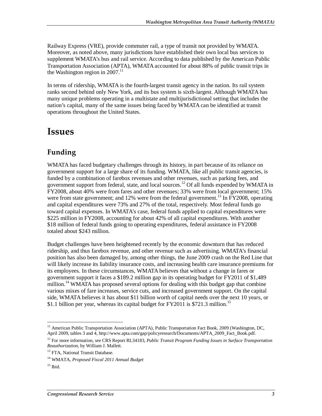Railway Express (VRE), provide commuter rail, a type of transit not provided by WMATA. Moreover, as noted above, many jurisdictions have established their own local bus services to supplement WMATA's bus and rail service. According to data published by the American Public Transportation Association (APTA), WMATA accounted for about 88% of public transit trips in the Washington region in  $2007$ .<sup>11</sup>

In terms of ridership, WMATA is the fourth-largest transit agency in the nation. Its rail system ranks second behind only New York, and its bus system is sixth-largest. Although WMATA has many unique problems operating in a multistate and multijurisdictional setting that includes the nation's capital, many of the same issues being faced by WMATA can be identified at transit operations throughout the United States.

### **Issues**

#### **Funding**

WMATA has faced budgetary challenges through its history, in part because of its reliance on government support for a large share of its funding. WMATA, like all public transit agencies, is funded by a combination of farebox revenues and other revenues, such as parking fees, and government support from federal, state, and local sources.<sup>12</sup> Of all funds expended by WMATA in FY2008, about 40% were from fares and other revenues; 33% were from local government; 15% were from state government; and 12% were from the federal government.<sup>13</sup> In FY2008, operating and capital expenditures were 73% and 27% of the total, respectively. Most federal funds go toward capital expenses. In WMATA's case, federal funds applied to capital expenditures were \$225 million in FY2008, accounting for about 42% of all capital expenditures. With another \$18 million of federal funds going to operating expenditures, federal assistance in FY2008 totaled about \$243 million.

Budget challenges have been heightened recently by the economic downturn that has reduced ridership, and thus farebox revenue, and other revenue such as advertising. WMATA's financial position has also been damaged by, among other things, the June 2009 crash on the Red Line that will likely increase its liability insurance costs, and increasing health care insurance premiums for its employees. In these circumstances, WMATA believes that without a change in fares or government support it faces a \$189.2 million gap in its operating budget for FY2011 of \$1,489 million.<sup>14</sup> WMATA has proposed several options for dealing with this budget gap that combine various mixes of fare increases, service cuts, and increased government support. On the capital side, WMATA believes it has about \$11 billion worth of capital needs over the next 10 years, or \$1.1 billion per year, whereas its capital budget for  $FY2011$  is \$721.3 million.<sup>15</sup>

<sup>-</sup><sup>11</sup> American Public Transportation Association (APTA), Public Transportation Fact Book, 2009 (Washington, DC, April 2009, tables 3 and 4, http://www.apta.com/gap/policyresearch/Documents/APTA\_2009\_Fact\_Book.pdf.

<sup>12</sup> For more information, see CRS Report RL34183, *Public Transit Program Funding Issues in Surface Transportation Reauthorization*, by William J. Mallett.

<sup>&</sup>lt;sup>13</sup> FTA, National Transit Database.

<sup>14</sup> WMATA, *Proposed Fiscal 2011 Annual Budget*

 $15$  Ibid.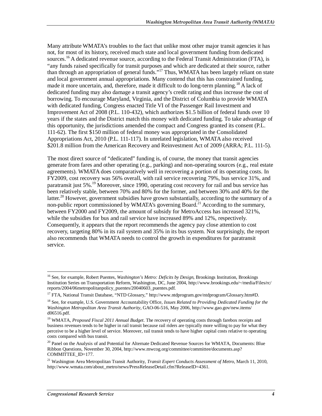Many attribute WMATA's troubles to the fact that unlike most other major transit agencies it has not, for most of its history, received much state and local government funding from dedicated sources.<sup>16</sup> A dedicated revenue source, according to the Federal Transit Administration (FTA), is "any funds raised specifically for transit purposes and which are dedicated at their source, rather than through an appropriation of general funds."17 Thus, WMATA has been largely reliant on state and local government annual appropriations. Many contend that this has constrained funding, made it more uncertain, and, therefore, made it difficult to do long-term planning.<sup>18</sup> A lack of dedicated funding may also damage a transit agency's credit rating and thus increase the cost of borrowing. To encourage Maryland, Virginia, and the District of Columbia to provide WMATA with dedicated funding, Congress enacted Title VI of the Passenger Rail Investment and Improvement Act of 2008 (P.L. 110-432), which authorizes \$1.5 billion of federal funds over 10 years if the states and the District match this money with dedicated funding. To take advantage of this opportunity, the jurisdictions amended the compact and Congress granted its consent (P.L. 111-62). The first \$150 million of federal money was appropriated in the Consolidated Appropriations Act, 2010 (P.L. 111-117). In unrelated legislation, WMATA also received \$201.8 million from the American Recovery and Reinvestment Act of 2009 (ARRA; P.L. 111-5).

The most direct source of "dedicated" funding is, of course, the money that transit agencies generate from fares and other operating (e.g., parking) and non-operating sources (e.g., real estate agreements). WMATA does comparatively well in recovering a portion of its operating costs. In FY2009, cost recovery was 56% overall, with rail service recovering 79%, bus service 31%, and paratransit just 5%.<sup>19</sup> Moreover, since 1990, operating cost recovery for rail and bus service has been relatively stable, between 70% and 80% for the former, and between 30% and 40% for the latter.<sup>20</sup> However, government subsidies have grown substantially, according to the summary of a non-public report commissioned by WMATA's governing Board.<sup>21</sup> According to the summary, between FY2000 and FY2009, the amount of subsidy for MetroAccess has increased 321%, while the subsidies for bus and rail service have increased 89% and 12%, respectively. Consequently, it appears that the report recommends the agency pay close attention to cost recovery, targeting 80% in its rail system and 35% in its bus system. Not surprisingly, the report also recommends that WMATA needs to control the growth in expenditures for paratransit service.

<sup>-</sup><sup>16</sup> See, for example, Robert Puentes, *Washington's Metro: Deficits by Design*, Brookings Institution, Brookings Institution Series on Transportation Reform, Washington, DC, June 2004, http://www.brookings.edu/~/media/Files/rc/ reports/2004/06metropolitanpolicy\_puentes/20040603\_puentes.pdf.

<sup>&</sup>lt;sup>17</sup> FTA, National Transit Database, "NTD Glossary," http://www.ntdprogram.gov/ntdprogram/Glossary.htm#D.

<sup>18</sup> See, for example, U.S. Government Accountability Office, *Issues Related to Providing Dedicated Funding for the Washington Metropolitan Area Transit Authority*, GAO-06-516, May 2006, http://www.gao.gov/new.items/ d06516.pdf.

<sup>19</sup> WMATA, *Proposed Fiscal 2011 Annual Budget*. The recovery of operating costs through farebox receipts and business revenues tends to be higher in rail transit because rail riders are typically more willing to pay for what they perceive to be a higher level of service. Moreover, rail transit tends to have higher capital costs relative to operating costs compared with bus transit.

<sup>&</sup>lt;sup>20</sup> Panel on the Analysis of and Potential for Alternate Dedicated Revenue Sources for WMATA, Documents: Blue Ribbon Questions, November 30, 2004, http://www.mwcog.org/committee/committee/documents.asp? COMMITTEE\_ID=177.

<sup>21</sup> Washington Area Metropolitan Transit Authority, *Transit Expert Conducts Assessment of Metro*, March 11, 2010, http://www.wmata.com/about\_metro/news/PressReleaseDetail.cfm?ReleaseID=4361.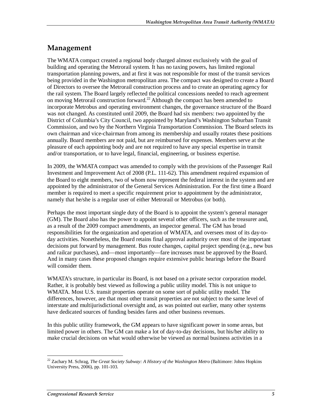#### **Management**

The WMATA compact created a regional body charged almost exclusively with the goal of building and operating the Metrorail system. It has no taxing powers, has limited regional transportation planning powers, and at first it was not responsible for most of the transit services being provided in the Washington metropolitan area. The compact was designed to create a Board of Directors to oversee the Metrorail construction process and to create an operating agency for the rail system. The Board largely reflected the political concessions needed to reach agreement on moving Metrorail construction forward.22 Although the compact has been amended to incorporate Metrobus and operating environment changes, the governance structure of the Board was not changed. As constituted until 2009, the Board had six members: two appointed by the District of Columbia's City Council, two appointed by Maryland's Washington Suburban Transit Commission, and two by the Northern Virginia Transportation Commission. The Board selects its own chairman and vice-chairman from among its membership and usually rotates these positions annually. Board members are not paid, but are reimbursed for expenses. Members serve at the pleasure of each appointing body and are not required to have any special expertise in transit and/or transportation, or to have legal, financial, engineering, or business expertise.

In 2009, the WMATA compact was amended to comply with the provisions of the Passenger Rail Investment and Improvement Act of 2008 (P.L. 111-62). This amendment required expansion of the Board to eight members, two of whom now represent the federal interest in the system and are appointed by the administrator of the General Services Administration. For the first time a Board member is required to meet a specific requirement prior to appointment by the administrator, namely that he/she is a regular user of either Metrorail or Metrobus (or both).

Perhaps the most important single duty of the Board is to appoint the system's general manager (GM). The Board also has the power to appoint several other officers, such as the treasurer and, as a result of the 2009 compact amendments, an inspector general. The GM has broad responsibilities for the organization and operation of WMATA, and oversees most of its day-today activities. Nonetheless, the Board retains final approval authority over most of the important decisions put forward by management. Bus route changes, capital project spending (e.g., new bus and railcar purchases), and—most importantly—fare increases must be approved by the Board. And in many cases these proposed changes require extensive public hearings before the Board will consider them.

WMATA's structure, in particular its Board, is not based on a private sector corporation model. Rather, it is probably best viewed as following a public utility model. This is not unique to WMATA. Most U.S. transit properties operate on some sort of public utility model. The differences, however, are that most other transit properties are not subject to the same level of interstate and multijurisdictional oversight and, as was pointed out earlier, many other systems have dedicated sources of funding besides fares and other business revenues.

In this public utility framework, the GM appears to have significant power in some areas, but limited power in others. The GM can make a lot of day-to-day decisions, but his/her ability to make crucial decisions on what would otherwise be viewed as normal business activities in a

-

<sup>22</sup> Zachary M. Schrag, *The Great Society Subway: A History of the Washington Metro* (Baltimore: Johns Hopkins University Press, 2006), pp. 101-103.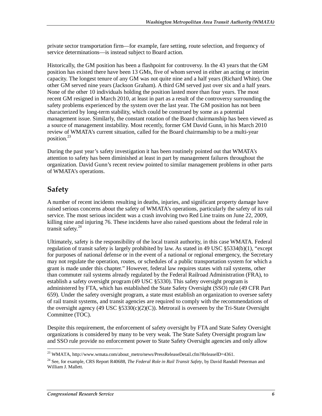private sector transportation firm—for example, fare setting, route selection, and frequency of service determinations—is instead subject to Board action.

Historically, the GM position has been a flashpoint for controversy. In the 43 years that the GM position has existed there have been 13 GMs, five of whom served in either an acting or interim capacity. The longest tenure of any GM was not quite nine and a half years (Richard White). One other GM served nine years (Jackson Graham). A third GM served just over six and a half years. None of the other 10 individuals holding the position lasted more than four years. The most recent GM resigned in March 2010, at least in part as a result of the controversy surrounding the safety problems experienced by the system over the last year. The GM position has not been characterized by long-term stability, which could be construed by some as a potential management issue. Similarly, the constant rotation of the Board chairmanship has been viewed as a source of management instability. Most recently, former GM David Gunn, in his March 2010 review of WMATA's current situation, called for the Board chairmanship to be a multi-year position.<sup>23</sup>

During the past year's safety investigation it has been routinely pointed out that WMATA's attention to safety has been diminished at least in part by management failures throughout the organization. David Gunn's recent review pointed to similar management problems in other parts of WMATA's operations.

#### **Safety**

A number of recent incidents resulting in deaths, injuries, and significant property damage have raised serious concerns about the safety of WMATA's operations, particularly the safety of its rail service. The most serious incident was a crash involving two Red Line trains on June 22, 2009, killing nine and injuring 76. These incidents have also raised questions about the federal role in transit safety. $^{24}$ 

Ultimately, safety is the responsibility of the local transit authority, in this case WMATA. Federal regulation of transit safety is largely prohibited by law. As stated in 49 USC §5334(b)(1), "except for purposes of national defense or in the event of a national or regional emergency, the Secretary may not regulate the operation, routes, or schedules of a public transportation system for which a grant is made under this chapter." However, federal law requires states with rail systems, other than commuter rail systems already regulated by the Federal Railroad Administration (FRA), to establish a safety oversight program (49 USC §5330). This safety oversight program is administered by FTA, which has established the State Safety Oversight (SSO) rule (49 CFR Part 659). Under the safety oversight program, a state must establish an organization to oversee safety of rail transit systems, and transit agencies are required to comply with the recommendations of the oversight agency (49 USC  $\S 5330(c)(2)(C)$ ). Metrorail is overseen by the Tri-State Oversight Committee (TOC).

Despite this requirement, the enforcement of safety oversight by FTA and State Safety Oversight organizations is considered by many to be very weak. The State Safety Oversight program law and SSO rule provide no enforcement power to State Safety Oversight agencies and only allow

<sup>-</sup><sup>23</sup> WMATA, http://www.wmata.com/about\_metro/news/PressReleaseDetail.cfm?ReleaseID=4361.

<sup>24</sup> See, for example, CRS Report R40688, *The Federal Role in Rail Transit Safety*, by David Randall Peterman and William J. Mallett.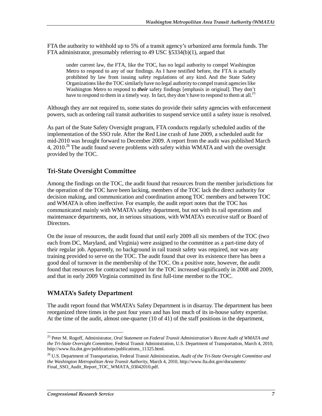FTA the authority to withhold up to 5% of a transit agency's urbanized area formula funds. The FTA administrator, presumably referring to 49 USC §5334(b)(1), argued that

under current law, the FTA, like the TOC, has no legal authority to compel Washington Metro to respond to any of our findings. As I have testified before, the FTA is actually prohibited by law from issuing safety regulations of any kind. And the State Safety Organizations like the TOC similarly have no legal authority to compel transit agencies like Washington Metro to respond to *their* safety findings [emphasis in original]. They don't have to respond to them in a timely way. In fact, they don't have to respond to them at all.<sup>25</sup>

Although they are not required to, some states do provide their safety agencies with enforcement powers, such as ordering rail transit authorities to suspend service until a safety issue is resolved.

As part of the State Safety Oversight program, FTA conducts regularly scheduled audits of the implementation of the SSO rule. After the Red Line crash of June 2009, a scheduled audit for mid-2010 was brought forward to December 2009. A report from the audit was published March 4, 2010.<sup>26</sup> The audit found severe problems with safety within WMATA and with the oversight provided by the TOC.

#### **Tri-State Oversight Committee**

Among the findings on the TOC, the audit found that resources from the member jurisdictions for the operation of the TOC have been lacking, members of the TOC lack the direct authority for decision making, and communication and coordination among TOC members and between TOC and WMATA is often ineffective. For example, the audit report notes that the TOC has communicated mainly with WMATA's safety department, but not with its rail operations and maintenance departments, nor, in serious situations, with WMATA's executive staff or Board of Directors.

On the issue of resources, the audit found that until early 2009 all six members of the TOC (two each from DC, Maryland, and Virginia) were assigned to the committee as a part-time duty of their regular job. Apparently, no background in rail transit safety was required, nor was any training provided to serve on the TOC. The audit found that over its existence there has been a good deal of turnover in the membership of the TOC. On a positive note, however, the audit found that resources for contracted support for the TOC increased significantly in 2008 and 2009, and that in early 2009 Virginia committed its first full-time member to the TOC.

#### **WMATA's Safety Department**

The audit report found that WMATA's Safety Department is in disarray. The department has been reorganized three times in the past four years and has lost much of its in-house safety expertise. At the time of the audit, almost one-quarter (10 of 41) of the staff positions in the department,

<sup>-</sup>25 Peter M. Rogoff, Administrator, *Oral Statement on Federal Transit Administration's Recent Audit of WMATA and the Tri-State Oversight Committee*, Federal Transit Administration, U.S. Department of Transportation, March 4, 2010, http://www.fta.dot.gov/publications/publications\_11325.html.

<sup>26</sup> U.S. Department of Transportation, Federal Transit Administration, *Audit of the Tri-State Oversight Committee and the Washington Metropolitan Area Transit Authority*, March 4, 2010, http://www.fta.dot.gov/documents/ Final\_SSO\_Audit\_Report\_TOC\_WMATA\_03042010.pdf.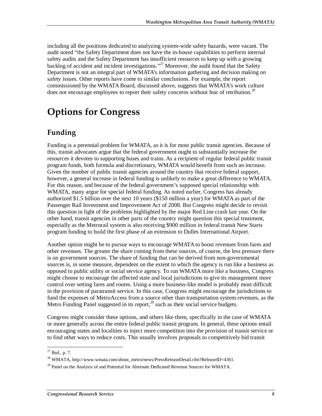including all the positions dedicated to analyzing system-wide safety hazards, were vacant. The audit noted "the Safety Department does not have the in-house capabilities to perform internal safety audits and the Safety Department has insufficient resources to keep up with a growing backlog of accident and incident investigations."<sup>27</sup> Moreover, the audit found that the Safety Department is not an integral part of WMATA's information gathering and decision making on safety issues. Other reports have come to similar conclusions. For example, the report commissioned by the WMATA Board, discussed above, suggests that WMATA's work culture does not encourage employees to report their safety concerns without fear of retribution.<sup>28</sup>

### **Options for Congress**

#### **Funding**

Funding is a perennial problem for WMATA, as it is for most public transit agencies. Because of this, transit advocates argue that the federal government ought to substantially increase the resources it devotes to supporting buses and trains. As a recipient of regular federal public transit program funds, both formula and discretionary, WMATA would benefit from such an increase. Given the number of public transit agencies around the country that receive federal support, however, a general increase in federal funding is unlikely to make a great difference to WMATA. For this reason, and because of the federal government's supposed special relationship with WMATA, many argue for special federal funding. As noted earlier, Congress has already authorized \$1.5 billion over the next 10 years (\$150 million a year) for WMATA as part of the Passenger Rail Investment and Improvement Act of 2008. But Congress might decide to revisit this question in light of the problems highlighted by the major Red Line crash last year. On the other hand, transit agencies in other parts of the country might question this special treatment, especially as the Metrorail system is also receiving \$900 million in federal transit New Starts program funding to build the first phase of an extension to Dulles International Airport.

Another option might be to pursue ways to encourage WMATA to boost revenues from fares and other revenues. The greater the share coming from these sources, of course, the less pressure there is on government sources. The share of funding that can be derived from non-governmental sources is, in some measure, dependent on the extent to which the agency is run like a business as opposed to public utility or social service agency. To run WMATA more like a business, Congress might choose to encourage the affected state and local jurisdictions to give its management more control over setting fares and routes. Using a more business-like model is probably most difficult in the provision of paratransit service. In this case, Congress might encourage the jurisdictions to fund the expenses of MetroAccess from a source other than transportation system revenues, as the Metro Funding Panel suggested in its report, $^{29}$  such as their social service budgets.

Congress might consider these options, and others like them, specifically in the case of WMATA or more generally across the entire federal public transit program. In general, these options entail encouraging states and localities to inject more competition into the provision of transit service or to find other ways to reduce costs. This usually involves proposals to competitively bid transit

<sup>-</sup> $^{27}$  Ibid., p. 7.

<sup>&</sup>lt;sup>28</sup> WMATA, http://www.wmata.com/about\_metro/news/PressReleaseDetail.cfm?ReleaseID=4361.

 $29$  Panel on the Analysis of and Potential for Alternate Dedicated Revenue Sources for WMATA.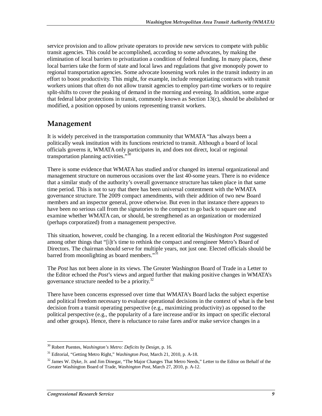service provision and to allow private operators to provide new services to compete with public transit agencies. This could be accomplished, according to some advocates, by making the elimination of local barriers to privatization a condition of federal funding. In many places, these local barriers take the form of state and local laws and regulations that give monopoly power to regional transportation agencies. Some advocate loosening work rules in the transit industry in an effort to boost productivity. This might, for example, include renegotiating contracts with transit workers unions that often do not allow transit agencies to employ part-time workers or to require split-shifts to cover the peaking of demand in the morning and evening. In addition, some argue that federal labor protections in transit, commonly known as Section 13(c), should be abolished or modified, a position opposed by unions representing transit workers.

#### **Management**

It is widely perceived in the transportation community that WMATA "has always been a politically weak institution with its functions restricted to transit. Although a board of local officials governs it, WMATA only participates in, and does not direct, local or regional transportation planning activities."<sup>3</sup>

There is some evidence that WMATA has studied and/or changed its internal organizational and management structure on numerous occasions over the last 40-some years. There is no evidence that a similar study of the authority's overall governance structure has taken place in that same time period. This is not to say that there has been universal contentment with the WMATA governance structure. The 2009 compact amendments, with their addition of two new Board members and an inspector general, prove otherwise. But even in that instance there appears to have been no serious call from the signatories to the compact to go back to square one and examine whether WMATA can, or should, be strengthened as an organization or modernized (perhaps corporatized) from a management perspective.

This situation, however, could be changing. In a recent editorial the *Washington Post* suggested among other things that "[i]t's time to rethink the compact and reengineer Metro's Board of Directors. The chairman should serve for multiple years, not just one. Elected officials should be barred from moonlighting as board members."<sup>31</sup>

The *Post* has not been alone in its views. The Greater Washington Board of Trade in a Letter to the Editor echoed the *Post*'s views and argued further that making positive changes in WMATA's governance structure needed to be a priority.<sup>32</sup>

There have been concerns expressed over time that WMATA's Board lacks the subject expertise and political freedom necessary to evaluate operational decisions in the context of what is the best decision from a transit operating perspective (e.g., maximizing productivity) as opposed to the political perspective (e.g., the popularity of a fare increase and/or its impact on specific electoral and other groups). Hence, there is reluctance to raise fares and/or make service changes in a

<sup>-</sup>30 Robert Puentes, *Washington's Metro: Deficits by Design,* p. 16.

<sup>31</sup> Editorial, "Getting Metro Right," *Washington Post*, March 21, 2010, p. A-18.

 $32$  James W. Dyke, Jr. and Jim Dinegar, "The Major Changes That Metro Needs," Letter to the Editor on Behalf of the Greater Washington Board of Trade, *Washington Post*, March 27, 2010, p. A-12.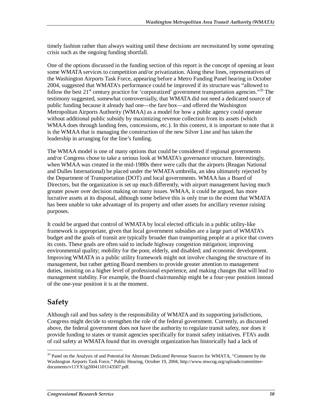timely fashion rather than always waiting until these decisions are necessitated by some operating crisis such as the ongoing funding shortfall.

One of the options discussed in the funding section of this report is the concept of opening at least some WMATA services to competition and/or privatization. Along these lines, representatives of the Washington Airports Task Force, appearing before a Metro Funding Panel hearing in October 2004, suggested that WMATA's performance could be improved if its structure was "allowed to follow the best  $21<sup>st</sup>$  century practice for 'corporatized' government transportation agencies."<sup>33</sup> The testimony suggested, somewhat controversially, that WMATA did not need a dedicated source of public funding because it already had one—the fare box—and offered the Washington Metropolitan Airports Authority (WMAA) as a model for how a public agency could operate without additional public subsidy by maximizing revenue collection from its assets (which WMAA does through landing fees, concessions, etc.). In this context, it is important to note that it is the WMAA that is managing the construction of the new Silver Line and has taken the leadership in arranging for the line's funding.

The WMAA model is one of many options that could be considered if regional governments and/or Congress chose to take a serious look at WMATA's governance structure. Interestingly, when WMAA was created in the mid-1980s there were calls that the airports (Reagan National and Dulles International) be placed under the WMATA umbrella, an idea ultimately rejected by the Department of Transportation (DOT) and local governments. WMAA has a Board of Directors, but the organization is set up much differently, with airport management having much greater power over decision making on many issues. WMAA, it could be argued, has more lucrative assets at its disposal, although some believe this is only true to the extent that WMATA has been unable to take advantage of its property and other assets for ancillary revenue raising purposes.

It could be argued that control of WMATA by local elected officials in a public utility-like framework is appropriate, given that local government subsidies are a large part of WMATA's budget and the goals of transit are typically broader than transporting people at a price that covers its costs. These goals are often said to include highway congestion mitigation; improving environmental quality; mobility for the poor, elderly, and disabled; and economic development. Improving WMATA in a public utility framework might not involve changing the structure of its management, but rather getting Board members to provide greater attention to management duties, insisting on a higher level of professional experience, and making changes that will lead to management stability. For example, the Board chairmanship might be a four-year position instead of the one-year position it is at the moment.

#### **Safety**

Although rail and bus safety is the responsibility of WMATA and its supporting jurisdictions, Congress might decide to strengthen the role of the federal government. Currently, as discussed above, the federal government does not have the authority to regulate transit safety, nor does it provide funding to states or transit agencies specifically for transit safety initiatives. FTA's audit of rail safety at WMATA found that its oversight organization has historically had a lack of

<sup>-</sup><sup>33</sup> Panel on the Analysis of and Potential for Alternate Dedicated Revenue Sources for WMATA, "Comment by the Washington Airports Task Force," Public Hearing, October 19, 2004, http://www.mwcog.org/uploads/committeedocuments/v11YX1g20041101143507.pdf.